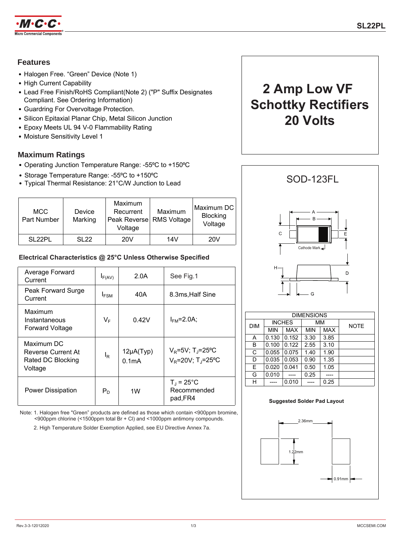

## **Features**

- Halogen Free. "Green" Device (Note 1)
- High Current Capability
- Lead Free Finish/RoHS Compliant(Note 2) ("P" Suffix Designates Compliant. See Ordering Information)
- Guardring For Overvoltage Protection.
- Silicon Epitaxial Planar Chip, Metal Silicon Junction
- Epoxy Meets UL 94 V-0 Flammability Rating
- Moisture Sensitivity Level 1

## **Maximum Ratings**

- Operating Junction Temperature Range: -55°C to +150°C
- 
- Storage Temperature Range: -55°C to +150°C<br>• Typical Thermal Resistance: 21°C/W Junction to Lead SOD-123FL

| <b>MCC</b><br>Part Number | <b>Device</b><br>Marking | Maximum<br>Recurrent<br>Peak Reverse RMS Voltage<br>Voltage | Maximum | Maximum DC<br><b>Blocking</b><br>Voltage |
|---------------------------|--------------------------|-------------------------------------------------------------|---------|------------------------------------------|
| <b>SL22PL</b>             | SL <sub>22</sub>         | 20V                                                         | 14V     | 20V                                      |

## **Electrical Characteristics @ 25°C Unless Otherwise Specified**

| Average Forward<br>Current                                       | $I_{F(AV)}$      | 2.0A                                 | See Fig.1                                                                   |
|------------------------------------------------------------------|------------------|--------------------------------------|-----------------------------------------------------------------------------|
| Peak Forward Surge<br>Current                                    | I <sub>FSM</sub> | 40A                                  | 8.3ms, Half Sine                                                            |
| Maximum<br>Instantaneous<br><b>Forward Voltage</b>               | $V_F$            | 0.42V                                | $I_{FM}$ =2.0A;                                                             |
| Maximum DC<br>Reverse Current At<br>Rated DC Blocking<br>Voltage | $I_R$            | $12\mu A(Typ)$<br>0.1 <sub>m</sub> A | $V_{\rm R}$ =5V; T <sub>J</sub> =25°C<br>$V_R = 20V$ ; T <sub>J</sub> =25°C |
| Power Dissipation                                                | $P_D$            | 1W                                   | $T_J = 25^{\circ}C$<br>Recommended<br>pad, FR4                              |

Note: 1. Halogen free "Green" products are defined as those which contain <900ppm bromine, <900ppm chlorine (<1500ppm total Br + Cl) and <1000ppm antimony compounds.

2. High Temperature Solder Exemption Applied, see EU Directive Annex 7a.





| <b>DIMENSIONS</b> |               |            |            |      |             |  |
|-------------------|---------------|------------|------------|------|-------------|--|
| <b>DIM</b>        | <b>INCHES</b> |            | МM         |      | <b>NOTE</b> |  |
|                   | <b>MIN</b>    | <b>MAX</b> | <b>MIN</b> | MAX  |             |  |
| A                 | 0.130         | 0.152      | 3.30       | 3.85 |             |  |
| B                 | 0.100         | 0.122      | 2.55       | 3.10 |             |  |
| C                 | 0.055         | 0.075      | 1.40       | 1.90 |             |  |
| D                 | 0.035         | 0.053      | 0.90       | 1.35 |             |  |
| E                 | 0.020         | 0.041      | 0.50       | 1.05 |             |  |
| G                 | 0.010         |            | 0.25       |      |             |  |
| н                 |               | 0.010      |            | 0.25 |             |  |

#### **Suggested Solder Pad Layout**

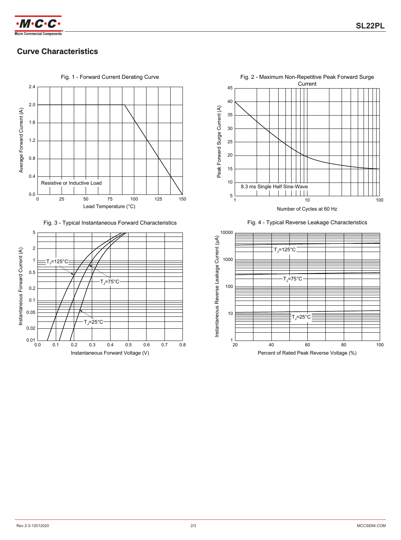

# **Curve Characteristics Curve Characteristics**



Fig. 3 - Typical Instantaneous Forward Characteristics